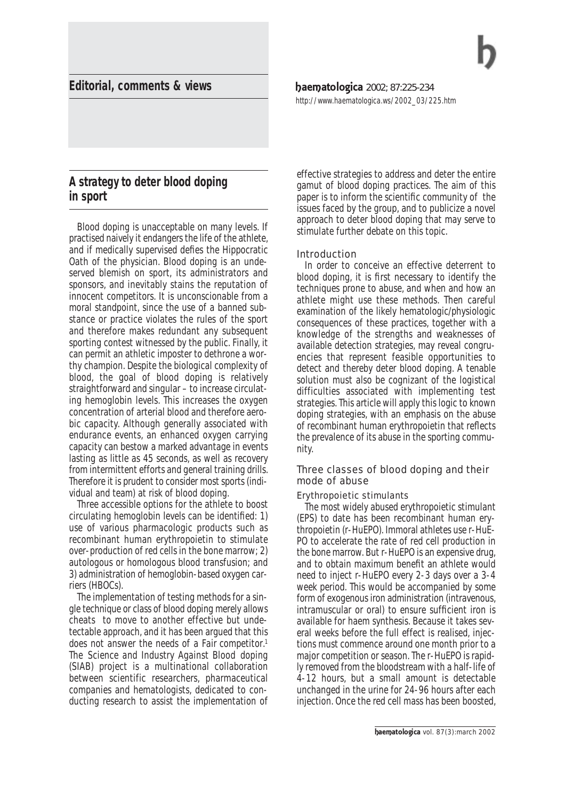# **Editorial, comments & views**

# **A strategy to deter blood doping in sport**

Blood doping is unacceptable on many levels. If practised naively it endangers the life of the athlete, and if medically supervised defies the Hippocratic Oath of the physician. Blood doping is an undeserved blemish on sport, its administrators and sponsors, and inevitably stains the reputation of innocent competitors. It is unconscionable from a moral standpoint, since the use of a banned substance or practice violates the rules of the sport and therefore makes redundant any subsequent sporting contest witnessed by the public. Finally, it can permit an athletic imposter to dethrone a worthy champion. Despite the biological complexity of blood, the goal of blood doping is relatively straightforward and singular – to increase circulating hemoglobin levels. This increases the oxygen concentration of arterial blood and therefore aerobic capacity. Although generally associated with endurance events, an enhanced oxygen carrying capacity can bestow a marked advantage in events lasting as little as 45 seconds, as well as recovery from intermittent efforts and general training drills. Therefore it is prudent to consider most sports (individual and team) at risk of blood doping.

Three accessible options for the athlete to boost circulating hemoglobin levels can be identified: 1) use of various pharmacologic products such as recombinant human erythropoietin to stimulate over-production of red cells in the bone marrow; 2) autologous or homologous blood transfusion; and 3) administration of hemoglobin-based oxygen carriers (HBOCs).

The implementation of testing methods for a single technique or class of blood doping merely allows cheats to move to another effective but undetectable approach, and it has been argued that this does not answer the needs of a *Fair competitor*. 1 The *Science and Industry Against Blood* doping (SIAB) project is a multinational collaboration between scientific researchers, pharmaceutical companies and hematologists, dedicated to conducting research to assist the implementation of haematologica 2002; 87:225-234 *http://www.haematologica.ws/2002\_03/225.htm*

effective strategies to address and deter the entire gamut of blood doping practices. The aim of this paper is to inform the scientific community of the issues faced by the group, and to publicize a novel approach to deter blood doping that may serve to stimulate further debate on this topic.

## Introduction

In order to conceive an effective deterrent to blood doping, it is first necessary to identify the techniques prone to abuse, and when and how an athlete might use these methods. Then careful examination of the likely hematologic/physiologic consequences of these practices, together with a knowledge of the strengths and weaknesses of available detection strategies, may reveal congruencies that represent feasible opportunities to detect and thereby deter blood doping. A tenable solution must also be cognizant of the logistical difficulties associated with implementing test strategies. This article will apply this logic to known doping strategies, with an emphasis on the abuse of recombinant human erythropoietin that reflects the prevalence of its abuse in the sporting community.

# Three classes of blood doping and their mode of abuse

## *Erythropoietic stimulants*

The most widely abused erythropoietic stimulant (*EPS*) to date has been recombinant human erythropoietin (r-HuEPO). Immoral athletes use r-HuE-PO to accelerate the rate of red cell production in the bone marrow. But r-HuEPO is an expensive drug, and to obtain maximum benefit an athlete would need to inject r-HuEPO every 2-3 days over a 3-4 week period. This would be accompanied by some form of exogenous iron administration (intravenous, intramuscular or oral) to ensure sufficient iron is available for haem synthesis. Because it takes several weeks before the full effect is realised, injections must commence around one month prior to a major competition or season. The r-HuEPO is rapidly removed from the bloodstream with a half-life of 4-12 hours, but a small amount is detectable unchanged in the urine for 24-96 hours after each injection. Once the red cell mass has been boosted,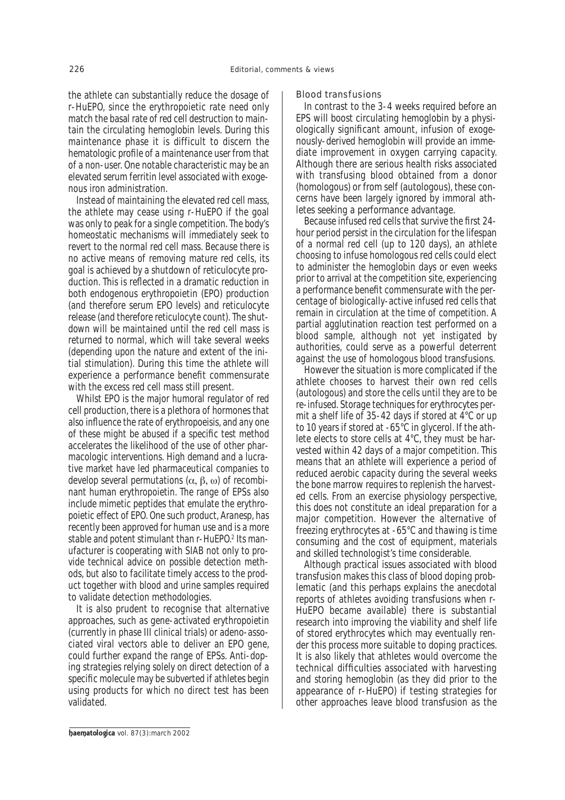the athlete can substantially reduce the dosage of r-HuEPO, since the erythropoietic rate need only match the basal rate of red cell destruction to maintain the circulating hemoglobin levels. During this *maintenance* phase it is difficult to discern the hematologic profile of a *maintenance* user from that of a non-user. One notable characteristic may be an elevated serum ferritin level associated with exogenous iron administration.

Instead of maintaining the elevated red cell mass, the athlete may cease using r-HuEPO if the goal was only to *peak* for a single competition. The body's homeostatic mechanisms will immediately seek to revert to the *normal* red cell mass. Because there is no active means of removing mature red cells, its goal is achieved by a shutdown of reticulocyte production. This is reflected in a dramatic reduction in both endogenous erythropoietin (EPO) production (and therefore serum EPO levels) and reticulocyte release (and therefore reticulocyte count). The *shutdown* will be maintained until the red cell mass is returned to normal, which will take several weeks (depending upon the nature and extent of the initial stimulation). During this time the athlete will experience a performance benefit commensurate with the excess red cell mass still present.

Whilst EPO is the major humoral regulator of red cell production, there is a plethora of hormones that also influence the rate of erythropoeisis, and any one of these might be abused if a specific test method accelerates the likelihood of the use of other pharmacologic interventions. High demand and a lucrative market have led pharmaceutical companies to develop several permutations (α, β, ω) of recombinant human erythropoietin. The range of EPSs also include mimetic peptides that emulate the erythropoietic effect of EPO. One such product, *Aranesp*, has recently been approved for human use and is a more stable and potent stimulant than r-HuEPO.2 Its manufacturer is cooperating with SIAB not only to provide technical advice on possible detection methods, but also to facilitate timely access to the product together with blood and urine samples required to validate detection methodologies.

It is also prudent to recognise that alternative approaches, such as gene-activated erythropoietin (currently in phase III clinical trials) or adeno-associated viral vectors able to deliver an EPO gene, could further expand the range of EPSs. Anti-doping strategies relying solely on direct detection of a specific molecule may be subverted if athletes begin using products for which no direct test has been validated.

#### *Blood transfusions*

In contrast to the 3-4 weeks required before an EPS will boost circulating hemoglobin by a physiologically significant amount, infusion of exogenously-derived hemoglobin will provide an immediate improvement in oxygen carrying capacity. Although there are serious health risks associated with transfusing blood obtained from a donor (homologous) or from self (autologous), these concerns have been largely ignored by immoral athletes seeking a performance advantage.

Because infused red cells that survive the first 24 hour period persist in the circulation for the lifespan of a normal red cell (up to 120 days), an athlete choosing to infuse homologous red cells could elect to administer the hemoglobin days or even weeks prior to arrival at the competition site, experiencing a performance benefit commensurate with the percentage of biologically-active infused red cells that remain in circulation at the time of competition. A partial agglutination reaction test performed on a blood sample, although not yet instigated by authorities, could serve as a powerful deterrent against the use of homologous blood transfusions.

However the situation is more complicated if the athlete chooses to harvest their own red cells (autologous) and store the cells until they are to be re-infused. Storage techniques for erythrocytes permit a shelf life of 35-42 days if stored at 4°C or up to 10 years if stored at -65°C in glycerol. If the athlete elects to store cells at 4°C, they must be harvested within 42 days of a major competition. This means that an athlete will experience a period of reduced aerobic capacity during the several weeks the bone marrow requires to replenish the harvested cells. From an exercise physiology perspective, this does not constitute an ideal preparation for a major competition. However the alternative of freezing erythrocytes at -65°C and thawing is time consuming and the cost of equipment, materials and skilled technologist's time considerable.

Although practical issues associated with blood transfusion makes this class of blood doping problematic (and this perhaps explains the anecdotal reports of athletes avoiding transfusions when r-HuEPO became available) there is substantial research into improving the viability and shelf life of stored erythrocytes which may eventually render this process more suitable to doping practices. It is also likely that athletes would overcome the technical difficulties associated with harvesting and storing hemoglobin (as they did prior to the appearance of r-HuEPO) if testing strategies for other approaches leave blood transfusion as the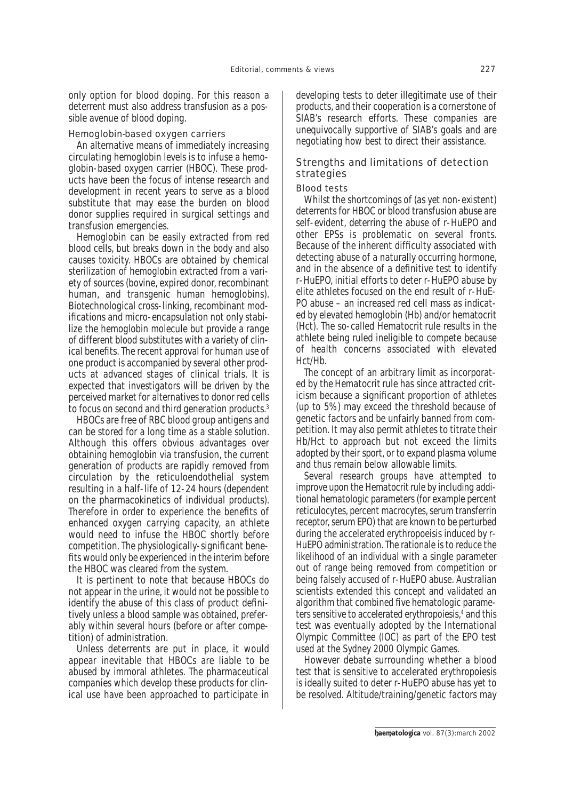only option for blood doping. For this reason a deterrent must also address transfusion as a possible avenue of blood doping.

#### *Hemoglobin-based oxygen carriers*

An alternative means of immediately increasing circulating hemoglobin levels is to infuse a hemoglobin-based oxygen carrier (HBOC). These products have been the focus of intense research and development in recent years to serve as a blood substitute that may ease the burden on blood donor supplies required in surgical settings and transfusion emergencies.

Hemoglobin can be easily extracted from red blood cells, but breaks down in the body and also causes toxicity. HBOCs are obtained by chemical sterilization of hemoglobin extracted from a variety of sources (bovine, expired donor, recombinant human, and transgenic human hemoglobins). Biotechnological cross-linking, recombinant modifications and micro-encapsulation not only stabilize the hemoglobin molecule but provide a range of different blood substitutes with a variety of clinical benefits. The recent approval for human use of one product is accompanied by several other products at advanced stages of clinical trials. It is expected that investigators will be driven by the perceived market for alternatives to donor red cells to focus on second and third generation products.3

HBOCs are free of RBC blood group antigens and can be stored for a long time as a stable solution. Although this offers obvious advantages over obtaining hemoglobin via transfusion, the current generation of products are rapidly removed from circulation by the reticuloendothelial system resulting in a half-life of 12-24 hours (dependent on the pharmacokinetics of individual products). Therefore in order to experience the benefits of enhanced oxygen carrying capacity, an athlete would need to infuse the HBOC shortly before competition. The physiologically-significant benefits would only be experienced in the interim before the HBOC was cleared from the system.

It is pertinent to note that because HBOCs do not appear in the urine, it would not be possible to identify the abuse of this class of product definitively unless a blood sample was obtained, preferably within several hours (before or after competition) of administration.

Unless deterrents are put in place, it would appear inevitable that HBOCs are liable to be abused by immoral athletes. The pharmaceutical companies which develop these products for clinical use have been approached to participate in developing tests to deter illegitimate use of their products, and their cooperation is a cornerstone of SIAB's research efforts. These companies are unequivocally supportive of SIAB's goals and are negotiating how best to direct their assistance.

# Strengths and limitations of detection strategies

#### *Blood tests*

Whilst the shortcomings of (as yet non-existent) deterrents for HBOC or blood transfusion abuse are self-evident, deterring the abuse of r-HuEPO and other EPSs is problematic on several fronts. Because of the inherent difficulty associated with detecting abuse of a naturally occurring hormone, and in the absence of a definitive test to identify r-HuEPO, initial efforts to deter r-HuEPO abuse by elite athletes focused on the end result of r-HuE-PO abuse – an increased red cell mass as indicated by elevated hemoglobin (Hb) and/or hematocrit (Hct). The so-called *Hematocrit rule* results in the athlete being ruled ineligible to compete because of health concerns associated with elevated Hct/Hb.

The concept of an arbitrary limit as incorporated by the *Hematocrit rule* has since attracted criticism because a significant proportion of athletes (up to 5%) may exceed the threshold because of genetic factors and be unfairly banned from competition. It may also permit athletes to *titrate* their Hb/Hct to approach but not exceed the limits adopted by their sport, or to expand plasma volume and thus remain below allowable limits.

Several research groups have attempted to improve upon the *Hematocrit rule* by including additional hematologic parameters (for example percent reticulocytes, percent macrocytes, serum transferrin receptor, serum EPO) that are known to be perturbed during the accelerated erythropoeisis induced by r-HuEPO administration. The rationale is to reduce the likelihood of an individual with a single parameter out of range being removed from competition or being falsely accused of r-HuEPO abuse. Australian scientists extended this concept and validated an algorithm that combined five hematologic parameters sensitive to accelerated erythropoiesis,4 and this test was eventually adopted by the International Olympic Committee (IOC) as part of the EPO test used at the Sydney 2000 Olympic Games.

However debate surrounding whether a blood test that is sensitive to accelerated erythropoiesis is ideally suited to deter r-HuEPO abuse has yet to be resolved. Altitude/training/genetic factors may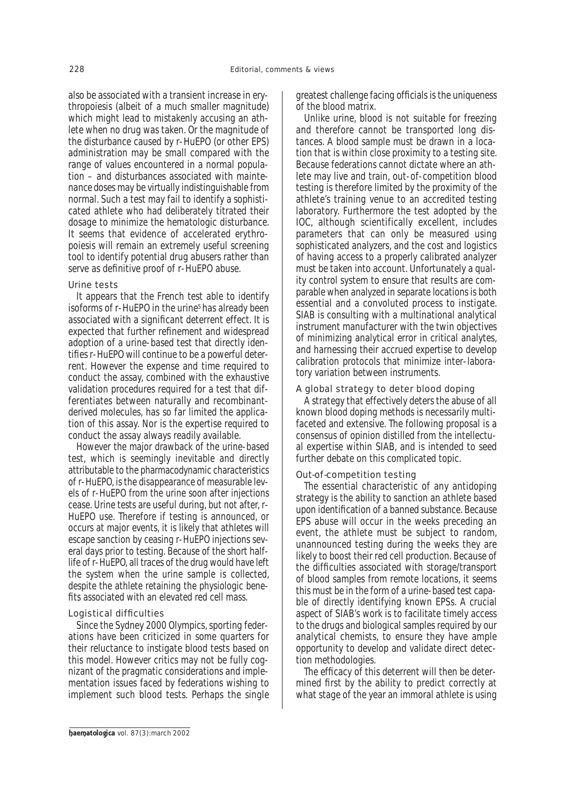also be associated with a transient increase in erythropoiesis (albeit of a much smaller magnitude) which might lead to mistakenly accusing an athlete when no drug was taken. Or the magnitude of the disturbance caused by r-HuEPO (or other EPS) administration may be small compared with the range of values encountered in a normal population – and disturbances associated with *maintenance doses* may be virtually indistinguishable from normal. Such a test may fail to identify a sophisticated athlete who had deliberately titrated their dosage to minimize the hematologic disturbance. It seems that evidence of accelerated erythropoiesis will remain an extremely useful *screening* tool to identify potential drug abusers rather than serve as definitive proof of r-HuEPO abuse.

## *Urine tests*

It appears that the French test able to identify isoforms of r-HuEPO in the urine<sup>5</sup> has already been associated with a significant deterrent effect. It is expected that further refinement and widespread adoption of a urine-based test that directly identifies r-HuEPO will continue to be a powerful deterrent. However the expense and time required to conduct the assay, combined with the exhaustive validation procedures required for a test that differentiates between naturally and recombinantderived molecules, has so far limited the application of this assay. Nor is the expertise required to conduct the assay always readily available.

However the major drawback of the urine-based test, which is seemingly inevitable and directly attributable to the pharmacodynamic characteristics of r-HuEPO, is the disappearance of measurable levels of r-HuEPO from the urine soon after injections cease. Urine tests are useful during, but not after, r-HuEPO use. Therefore if testing is announced, or occurs at major events, it is likely that athletes will escape sanction by ceasing r-HuEPO injections several days prior to testing. Because of the short halflife of r-HuEPO, all traces of the drug would have left the system when the urine sample is collected, despite the athlete retaining the physiologic benefits associated with an elevated red cell mass.

# *Logistical difficulties*

Since the Sydney 2000 Olympics, sporting federations have been criticized in some quarters for their reluctance to instigate blood tests based on this model. However critics may not be fully cognizant of the pragmatic considerations and implementation issues faced by federations wishing to implement such blood tests. Perhaps the single greatest challenge facing officials is the uniqueness of the blood matrix.

Unlike urine, blood is not suitable for freezing and therefore cannot be transported long distances. A blood sample must be drawn in a location that is within close proximity to a testing site. Because federations cannot dictate where an athlete may live and train, out-of-competition blood testing is therefore limited by the proximity of the athlete's training venue to an accredited testing laboratory. Furthermore the test adopted by the IOC, although scientifically excellent, includes parameters that can only be measured using sophisticated analyzers, and the cost and logistics of having access to a properly calibrated analyzer must be taken into account. Unfortunately a quality control system to ensure that results are comparable when analyzed in separate locations is both essential and a convoluted process to instigate. SIAB is consulting with a multinational analytical instrument manufacturer with the twin objectives of minimizing analytical error in critical analytes, and harnessing their accrued expertise to develop calibration protocols that minimize inter-laboratory variation between instruments.

## *A global strategy to deter blood doping*

A strategy that effectively deters the abuse of all known blood doping methods is necessarily multifaceted and extensive. The following proposal is a consensus of opinion distilled from the intellectual expertise within SIAB, and is intended to seed further debate on this complicated topic.

## *Out-of-competition testing*

The essential characteristic of any antidoping strategy is the ability to sanction an athlete based upon identification of a banned substance. Because EPS abuse will occur in the weeks preceding an event, the athlete must be subject to random, unannounced testing during the weeks they are likely to boost their red cell production. Because of the difficulties associated with storage/transport of blood samples from remote locations, it seems this must be in the form of a urine-based test capable of directly identifying known EPSs. A crucial aspect of SIAB's work is to facilitate timely access to the drugs and biological samples required by our analytical chemists, to ensure they have ample opportunity to develop and validate direct detection methodologies.

The efficacy of this deterrent will then be determined first by the ability to predict correctly at what stage of the year an immoral athlete is using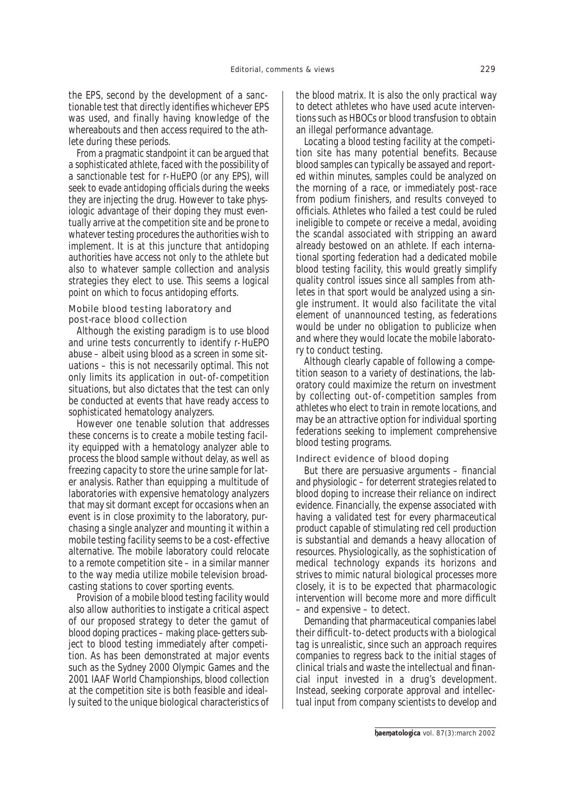the EPS, second by the development of a sanctionable test that directly identifies whichever EPS was used, and finally having knowledge of the whereabouts and then access required to the athlete during these periods.

From a pragmatic standpoint it can be argued that a sophisticated athlete, faced with the possibility of a sanctionable test for r-HuEPO (or any EPS), will seek to evade antidoping officials during the weeks they are injecting the drug. However to take physiologic advantage of their doping they must eventually arrive at the competition site and be prone to whatever testing procedures the authorities wish to implement. It is at this juncture that antidoping authorities have access not only to the athlete but also to whatever sample collection and analysis strategies they elect to use. This seems a logical point on which to focus antidoping efforts.

## *Mobile blood testing laboratory and post-race blood collection*

Although the existing paradigm is to use blood and urine tests concurrently to identify r-HuEPO abuse – albeit using blood as a *screen* in some situations – this is not necessarily optimal. This not only limits its application in out-of-competition situations, but also dictates that the test can only be conducted at events that have ready access to sophisticated hematology analyzers.

However one tenable solution that addresses these concerns is to create a mobile testing facility equipped with a hematology analyzer able to process the blood sample without delay, as well as freezing capacity to store the urine sample for later analysis. Rather than equipping a multitude of laboratories with expensive hematology analyzers that may sit dormant except for occasions when an event is in close proximity to the laboratory, purchasing a single analyzer and mounting it within a mobile testing facility seems to be a cost-effective alternative. The mobile laboratory could relocate to a remote competition site – in a similar manner to the way media utilize mobile television broadcasting stations to cover sporting events.

Provision of a mobile blood testing facility would also allow authorities to instigate a critical aspect of our proposed strategy to deter the gamut of blood doping practices – making place-getters subject to blood testing immediately after competition. As has been demonstrated at major events such as the Sydney 2000 Olympic Games and the 2001 IAAF World Championships, blood collection at the competition site is both feasible and ideally suited to the unique biological characteristics of the blood matrix. It is also the only practical way to detect athletes who have used *acute* interventions such as HBOCs or blood transfusion to obtain an illegal performance advantage.

Locating a blood testing facility at the competition site has many potential benefits. Because blood samples can typically be assayed and reported within minutes, samples could be analyzed on the morning of a race, or immediately post-race from podium finishers, and results conveyed to officials. Athletes who failed a test could be ruled ineligible to compete or receive a medal, avoiding the scandal associated with stripping an award already bestowed on an athlete. If each international sporting federation had a dedicated mobile blood testing facility, this would greatly simplify quality control issues since all samples from athletes in that sport would be analyzed using a single instrument. It would also facilitate the vital element of unannounced testing, as federations would be under no obligation to publicize when and where they would locate the mobile laboratory to conduct testing.

Although clearly capable of following a competition season to a variety of destinations, the laboratory could maximize the return on investment by collecting out-of-competition samples from athletes who elect to train in remote locations, and may be an attractive option for individual sporting federations seeking to implement comprehensive blood testing programs.

#### *Indirect evidence of blood doping*

But there are persuasive arguments – financial and physiologic – for deterrent strategies related to blood doping to increase their reliance on indirect evidence. Financially, the expense associated with having a validated test for every pharmaceutical product capable of stimulating red cell production is substantial and demands a heavy allocation of resources. Physiologically, as the sophistication of medical technology expands its horizons and strives to mimic natural biological processes more closely, it is to be expected that pharmacologic intervention will become more and more difficult – and expensive – to detect.

Demanding that pharmaceutical companies *label* their difficult-to-detect products with a biological *tag* is unrealistic, since such an approach requires companies to regress back to the initial stages of clinical trials and waste the intellectual and financial input invested in a drug's development. Instead, seeking corporate approval and intellectual input from company scientists to develop and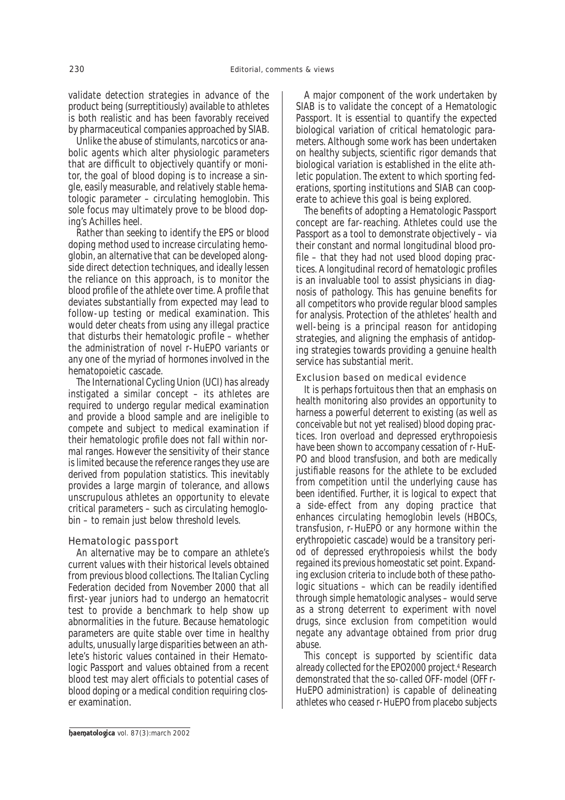validate detection strategies in advance of the product being (surreptitiously) available to athletes is both realistic and has been favorably received by pharmaceutical companies approached by SIAB.

Unlike the abuse of stimulants, narcotics or anabolic agents which alter physiologic parameters that are difficult to objectively quantify or monitor, the goal of blood doping is to increase a single, easily measurable, and relatively stable hematologic parameter – circulating hemoglobin. This sole focus may ultimately prove to be blood doping's Achilles heel.

Rather than seeking to identify the EPS or blood doping method used to increase circulating hemoglobin, an alternative that can be developed alongside direct detection techniques, and ideally lessen the reliance on this approach, is to monitor the blood profile of the athlete over time. A profile that deviates substantially from expected may lead to follow-up testing or medical examination. This would deter cheats from using any illegal practice that disturbs their hematologic profile – whether the administration of novel r-HuEPO variants or any one of the myriad of hormones involved in the hematopoietic cascade.

The *International Cycling Union* (UCI) has already instigated a similar concept – its athletes are required to undergo regular medical examination and provide a blood sample and are ineligible to compete and subject to medical examination if their hematologic profile does not fall within normal ranges. However the sensitivity of their stance is limited because the reference ranges they use are derived from population statistics. This inevitably provides a large margin of tolerance, and allows unscrupulous athletes an opportunity to elevate critical parameters – such as circulating hemoglobin – to remain just below threshold levels.

# Hematologic passport

An alternative may be to compare an athlete's current values with their historical levels obtained from previous blood collections. The *Italian Cycling Federation* decided from November 2000 that all first-year juniors had to undergo an hematocrit test to provide a benchmark to help show up abnormalities in the future. Because hematologic parameters are quite stable over time in healthy adults, unusually large disparities between an athlete's historic values contained in their *Hematologic Passport* and values obtained from a recent blood test may alert officials to potential cases of blood doping or a medical condition requiring closer examination.

A major component of the work undertaken by SIAB is to validate the concept of a *Hematologic Passport*. It is essential to quantify the expected biological variation of critical hematologic parameters. Although some work has been undertaken on healthy subjects, scientific rigor demands that biological variation is established in the elite athletic population. The extent to which sporting federations, sporting institutions and SIAB can cooperate to achieve this goal is being explored.

The benefits of adopting a *Hematologic Passport* concept are far-reaching. Athletes could use the Passport as a tool to demonstrate objectively – via their constant and normal longitudinal blood profile – that they had not used blood doping practices. A longitudinal record of hematologic profiles is an invaluable tool to assist physicians in diagnosis of pathology. This has genuine benefits for all competitors who provide regular blood samples for analysis. Protection of the athletes' health and well-being is a principal reason for antidoping strategies, and aligning the emphasis of antidoping strategies towards providing a genuine health service has substantial merit.

## *Exclusion based on medical evidence*

It is perhaps fortuitous then that an emphasis on health monitoring also provides an opportunity to harness a powerful deterrent to existing (as well as conceivable but not yet realised) blood doping practices. Iron overload and depressed erythropoiesis have been shown to accompany cessation of r-HuE-PO and blood transfusion, and both are medically justifiable reasons for the athlete to be excluded from competition until the underlying cause has been identified. Further, it is logical to expect that a side-effect from any doping practice that enhances circulating hemoglobin levels (HBOCs, transfusion, r-HuEPO or any hormone within the erythropoietic cascade) would be a transitory period of depressed erythropoiesis whilst the body regained its previous homeostatic set point. Expanding exclusion criteria to include both of these pathologic situations – which can be readily identified through simple hematologic analyses – would serve as a strong deterrent to experiment with novel drugs, since exclusion from competition would negate any advantage obtained from prior drug abuse.

This concept is supported by scientific data already collected for the EPO2000 project.4 Research demonstrated that the so-called *OFF-model* (*OFF r-HuEPO administration*) is capable of delineating athletes who ceased r-HuEPO from placebo subjects

baematologica vol. 87(3):march 2002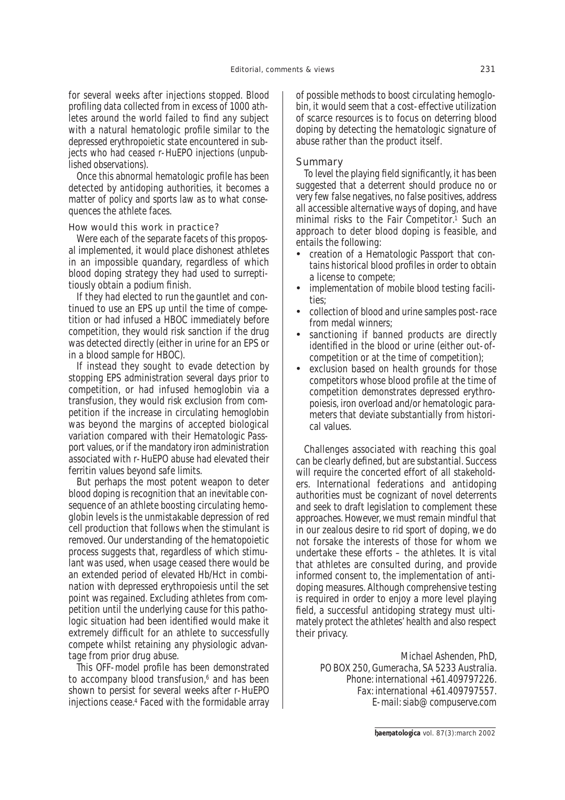for several weeks after injections stopped. Blood profiling data collected from in excess of 1000 athletes around the world failed to find any subject with a natural hematologic profile similar to the depressed erythropoietic state encountered in subjects who had ceased r-HuEPO injections (*unpublished observations*).

Once this abnormal hematologic profile has been detected by antidoping authorities, it becomes a matter of policy and sports law as to what consequences the athlete faces.

## *How would this work in practice?*

Were each of the separate facets of this proposal implemented, it would place dishonest athletes in an impossible quandary, regardless of which blood doping strategy they had used to surreptitiously obtain a podium finish.

If they had elected to *run the gauntlet* and continued to use an EPS up until the time of competition or had infused a HBOC immediately before competition, they would risk sanction if the drug was detected directly (either in urine for an EPS or in a blood sample for HBOC).

If instead they sought to evade detection by stopping EPS administration several days prior to competition, or had infused hemoglobin via a transfusion, they would risk exclusion from competition if the increase in circulating hemoglobin was beyond the margins of accepted biological variation compared with their *Hematologic Passport* values, or if the mandatory iron administration associated with r-HuEPO abuse had elevated their ferritin values beyond safe limits.

But perhaps the most potent weapon to deter blood doping is recognition that an inevitable consequence of an athlete boosting circulating hemoglobin levels is the unmistakable depression of red cell production that follows when the stimulant is removed. Our understanding of the hematopoietic process suggests that, regardless of which stimulant was used, when usage ceased there would be an extended period of elevated Hb/Hct in combination with depressed erythropoiesis until the set point was regained. Excluding athletes from competition until the underlying cause for this pathologic situation had been identified would make it extremely difficult for an athlete to successfully compete whilst retaining any physiologic advantage from prior drug abuse.

This *OFF-model* profile has been demonstrated to accompany blood transfusion,<sup>6</sup> and has been shown to persist for several weeks after r-HuEPO injections cease.4 Faced with the formidable array

of possible methods to boost circulating hemoglobin, it would seem that a cost-effective utilization of scarce resources is to focus on deterring blood doping by detecting the hematologic signature of abuse rather than the product itself.

## **Summary**

To level the playing field significantly, it has been suggested that a deterrent should produce no or very few false negatives, no false positives, address all accessible alternative ways of doping, and have minimal risks to the *Fair Competitor*. <sup>1</sup> Such an approach to deter blood doping is feasible, and entails the following:

- creation of a *Hematologic Passport* that contains historical blood profiles in order to obtain a license to compete;
- implementation of mobile blood testing facilities;
- collection of blood and urine samples post-race from medal winners;
- sanctioning if banned products are directly identified in the blood or urine (either out-ofcompetition or at the time of competition);
- exclusion based on health grounds for those competitors whose blood profile at the time of competition demonstrates depressed erythropoiesis, iron overload and/or hematologic parameters that deviate substantially from historical values.

Challenges associated with reaching this goal can be clearly defined, but are substantial. Success will require the concerted effort of all stakeholders. International federations and antidoping authorities must be cognizant of novel deterrents and seek to draft legislation to complement these approaches. However, we must remain mindful that in our zealous desire to rid sport of doping, we do not forsake the interests of those for whom we undertake these efforts – the athletes. It is vital that athletes are consulted during, and provide informed consent to, the implementation of antidoping measures. Although comprehensive testing is required in order to enjoy a more level playing field, a successful antidoping strategy must ultimately protect the athletes' health and also respect their privacy.

> *Michael Ashenden, PhD, PO BOX 250, Gumeracha, SA 5233 Australia. Phone: international +61.409797226. Fax: international +61.409797557. E-mail: siab@compuserve.com*